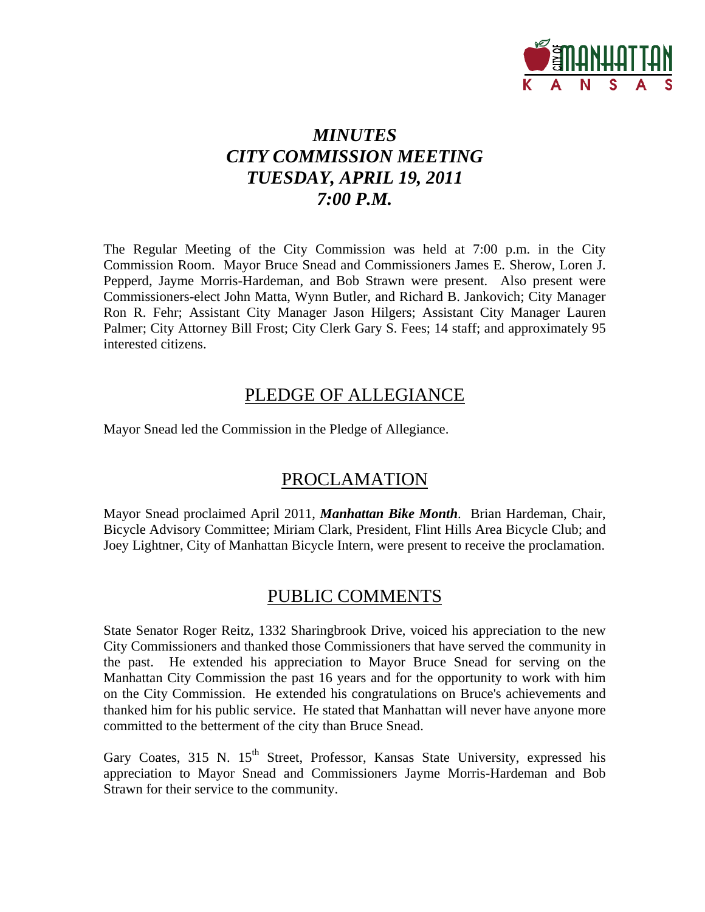

# *MINUTES CITY COMMISSION MEETING TUESDAY, APRIL 19, 2011 7:00 P.M.*

The Regular Meeting of the City Commission was held at 7:00 p.m. in the City Commission Room. Mayor Bruce Snead and Commissioners James E. Sherow, Loren J. Pepperd, Jayme Morris-Hardeman, and Bob Strawn were present. Also present were Commissioners-elect John Matta, Wynn Butler, and Richard B. Jankovich; City Manager Ron R. Fehr; Assistant City Manager Jason Hilgers; Assistant City Manager Lauren Palmer; City Attorney Bill Frost; City Clerk Gary S. Fees; 14 staff; and approximately 95 interested citizens.

## PLEDGE OF ALLEGIANCE

Mayor Snead led the Commission in the Pledge of Allegiance.

# PROCLAMATION

Mayor Snead proclaimed April 2011, *Manhattan Bike Month*. Brian Hardeman, Chair, Bicycle Advisory Committee; Miriam Clark, President, Flint Hills Area Bicycle Club; and Joey Lightner, City of Manhattan Bicycle Intern, were present to receive the proclamation.

## PUBLIC COMMENTS

State Senator Roger Reitz, 1332 Sharingbrook Drive, voiced his appreciation to the new City Commissioners and thanked those Commissioners that have served the community in the past. He extended his appreciation to Mayor Bruce Snead for serving on the Manhattan City Commission the past 16 years and for the opportunity to work with him on the City Commission. He extended his congratulations on Bruce's achievements and thanked him for his public service. He stated that Manhattan will never have anyone more committed to the betterment of the city than Bruce Snead.

Gary Coates, 315 N.  $15<sup>th</sup>$  Street, Professor, Kansas State University, expressed his appreciation to Mayor Snead and Commissioners Jayme Morris-Hardeman and Bob Strawn for their service to the community.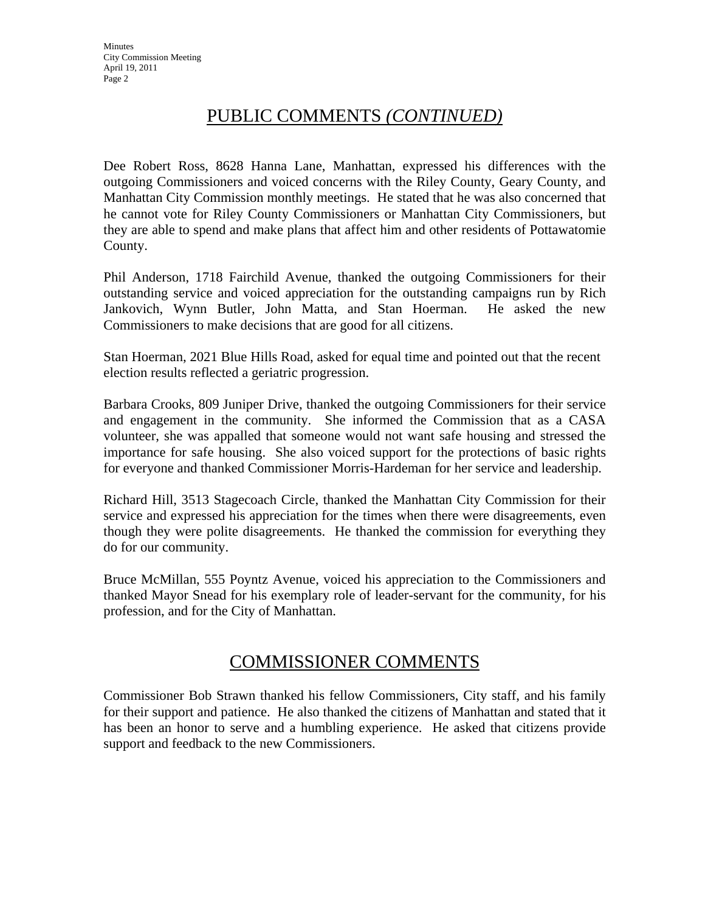## PUBLIC COMMENTS *(CONTINUED)*

Dee Robert Ross, 8628 Hanna Lane, Manhattan, expressed his differences with the outgoing Commissioners and voiced concerns with the Riley County, Geary County, and Manhattan City Commission monthly meetings. He stated that he was also concerned that he cannot vote for Riley County Commissioners or Manhattan City Commissioners, but they are able to spend and make plans that affect him and other residents of Pottawatomie County.

Phil Anderson, 1718 Fairchild Avenue, thanked the outgoing Commissioners for their outstanding service and voiced appreciation for the outstanding campaigns run by Rich Jankovich, Wynn Butler, John Matta, and Stan Hoerman. He asked the new Commissioners to make decisions that are good for all citizens.

Stan Hoerman, 2021 Blue Hills Road, asked for equal time and pointed out that the recent election results reflected a geriatric progression.

Barbara Crooks, 809 Juniper Drive, thanked the outgoing Commissioners for their service and engagement in the community. She informed the Commission that as a CASA volunteer, she was appalled that someone would not want safe housing and stressed the importance for safe housing. She also voiced support for the protections of basic rights for everyone and thanked Commissioner Morris-Hardeman for her service and leadership.

Richard Hill, 3513 Stagecoach Circle, thanked the Manhattan City Commission for their service and expressed his appreciation for the times when there were disagreements, even though they were polite disagreements. He thanked the commission for everything they do for our community.

Bruce McMillan, 555 Poyntz Avenue, voiced his appreciation to the Commissioners and thanked Mayor Snead for his exemplary role of leader-servant for the community, for his profession, and for the City of Manhattan.

## COMMISSIONER COMMENTS

Commissioner Bob Strawn thanked his fellow Commissioners, City staff, and his family for their support and patience. He also thanked the citizens of Manhattan and stated that it has been an honor to serve and a humbling experience. He asked that citizens provide support and feedback to the new Commissioners.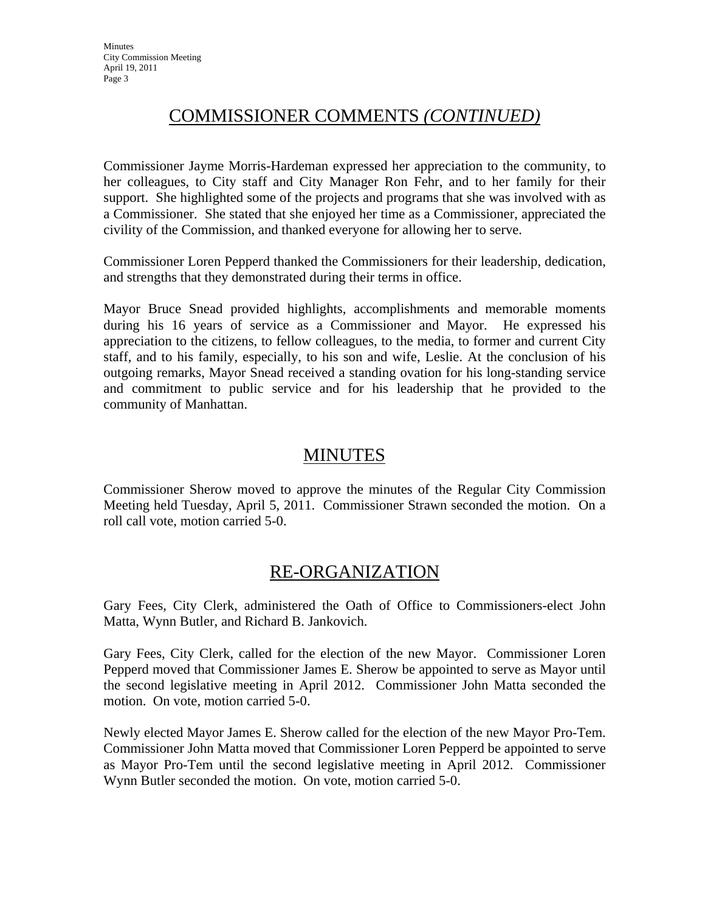## COMMISSIONER COMMENTS *(CONTINUED)*

Commissioner Jayme Morris-Hardeman expressed her appreciation to the community, to her colleagues, to City staff and City Manager Ron Fehr, and to her family for their support. She highlighted some of the projects and programs that she was involved with as a Commissioner. She stated that she enjoyed her time as a Commissioner, appreciated the civility of the Commission, and thanked everyone for allowing her to serve.

Commissioner Loren Pepperd thanked the Commissioners for their leadership, dedication, and strengths that they demonstrated during their terms in office.

Mayor Bruce Snead provided highlights, accomplishments and memorable moments during his 16 years of service as a Commissioner and Mayor. He expressed his appreciation to the citizens, to fellow colleagues, to the media, to former and current City staff, and to his family, especially, to his son and wife, Leslie. At the conclusion of his outgoing remarks, Mayor Snead received a standing ovation for his long-standing service and commitment to public service and for his leadership that he provided to the community of Manhattan.

## MINUTES

Commissioner Sherow moved to approve the minutes of the Regular City Commission Meeting held Tuesday, April 5, 2011. Commissioner Strawn seconded the motion. On a roll call vote, motion carried 5-0.

## RE-ORGANIZATION

Gary Fees, City Clerk, administered the Oath of Office to Commissioners-elect John Matta, Wynn Butler, and Richard B. Jankovich.

Gary Fees, City Clerk, called for the election of the new Mayor. Commissioner Loren Pepperd moved that Commissioner James E. Sherow be appointed to serve as Mayor until the second legislative meeting in April 2012. Commissioner John Matta seconded the motion. On vote, motion carried 5-0.

Newly elected Mayor James E. Sherow called for the election of the new Mayor Pro-Tem. Commissioner John Matta moved that Commissioner Loren Pepperd be appointed to serve as Mayor Pro-Tem until the second legislative meeting in April 2012. Commissioner Wynn Butler seconded the motion. On vote, motion carried 5-0.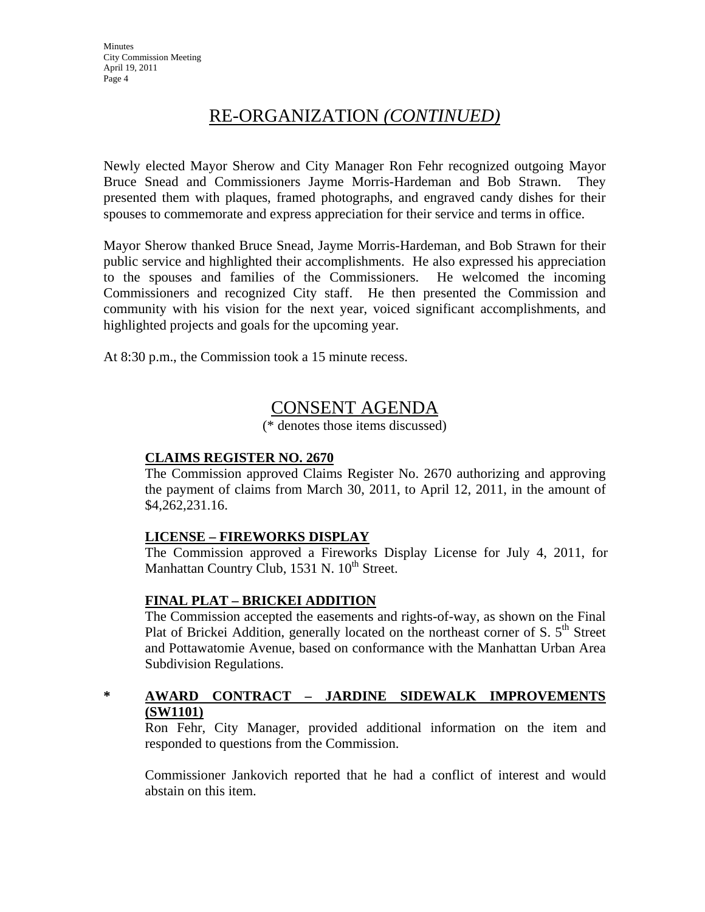## RE-ORGANIZATION *(CONTINUED)*

Newly elected Mayor Sherow and City Manager Ron Fehr recognized outgoing Mayor Bruce Snead and Commissioners Jayme Morris-Hardeman and Bob Strawn. They presented them with plaques, framed photographs, and engraved candy dishes for their spouses to commemorate and express appreciation for their service and terms in office.

Mayor Sherow thanked Bruce Snead, Jayme Morris-Hardeman, and Bob Strawn for their public service and highlighted their accomplishments. He also expressed his appreciation to the spouses and families of the Commissioners. He welcomed the incoming Commissioners and recognized City staff. He then presented the Commission and community with his vision for the next year, voiced significant accomplishments, and highlighted projects and goals for the upcoming year.

At 8:30 p.m., the Commission took a 15 minute recess.

## CONSENT AGENDA

(\* denotes those items discussed)

#### **CLAIMS REGISTER NO. 2670**

The Commission approved Claims Register No. 2670 authorizing and approving the payment of claims from March 30, 2011, to April 12, 2011, in the amount of \$4,262,231.16.

#### **LICENSE – FIREWORKS DISPLAY**

The Commission approved a Fireworks Display License for July 4, 2011, for Manhattan Country Club,  $1531$  N.  $10^{th}$  Street.

#### **FINAL PLAT – BRICKEI ADDITION**

The Commission accepted the easements and rights-of-way, as shown on the Final Plat of Brickei Addition, generally located on the northeast corner of S.  $5<sup>th</sup>$  Street and Pottawatomie Avenue, based on conformance with the Manhattan Urban Area Subdivision Regulations.

### **\* AWARD CONTRACT – JARDINE SIDEWALK IMPROVEMENTS (SW1101)**

Ron Fehr, City Manager, provided additional information on the item and responded to questions from the Commission.

Commissioner Jankovich reported that he had a conflict of interest and would abstain on this item.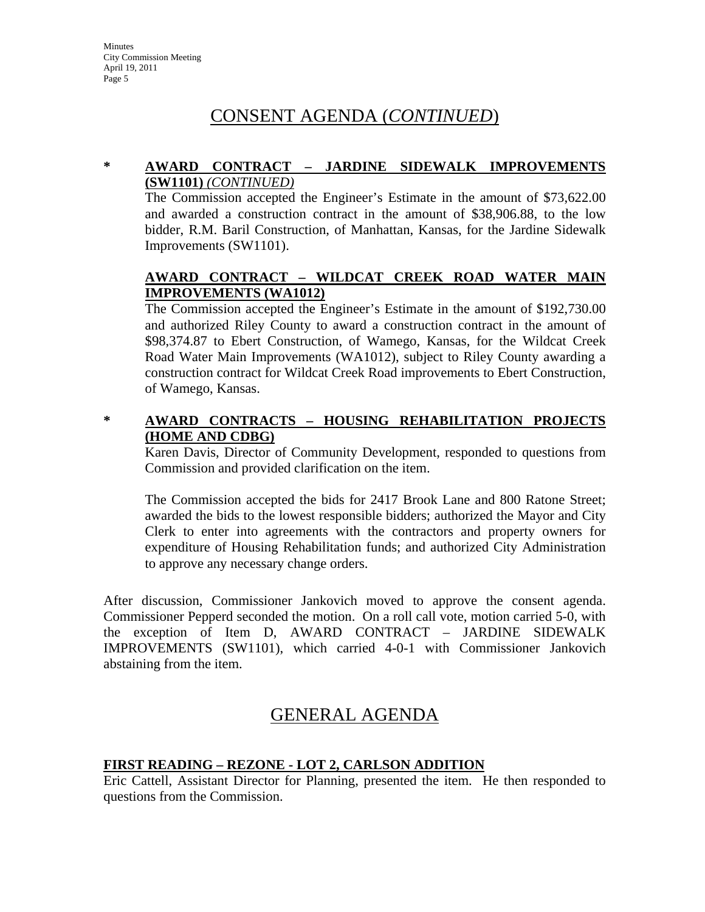# CONSENT AGENDA (*CONTINUED*)

#### **\* AWARD CONTRACT – JARDINE SIDEWALK IMPROVEMENTS (SW1101)** *(CONTINUED)*

The Commission accepted the Engineer's Estimate in the amount of \$73,622.00 and awarded a construction contract in the amount of \$38,906.88, to the low bidder, R.M. Baril Construction, of Manhattan, Kansas, for the Jardine Sidewalk Improvements (SW1101).

#### **AWARD CONTRACT – WILDCAT CREEK ROAD WATER MAIN IMPROVEMENTS (WA1012)**

The Commission accepted the Engineer's Estimate in the amount of \$192,730.00 and authorized Riley County to award a construction contract in the amount of \$98,374.87 to Ebert Construction, of Wamego, Kansas, for the Wildcat Creek Road Water Main Improvements (WA1012), subject to Riley County awarding a construction contract for Wildcat Creek Road improvements to Ebert Construction, of Wamego, Kansas.

### **\* AWARD CONTRACTS – HOUSING REHABILITATION PROJECTS (HOME AND CDBG)**

Karen Davis, Director of Community Development, responded to questions from Commission and provided clarification on the item.

The Commission accepted the bids for 2417 Brook Lane and 800 Ratone Street; awarded the bids to the lowest responsible bidders; authorized the Mayor and City Clerk to enter into agreements with the contractors and property owners for expenditure of Housing Rehabilitation funds; and authorized City Administration to approve any necessary change orders.

After discussion, Commissioner Jankovich moved to approve the consent agenda. Commissioner Pepperd seconded the motion. On a roll call vote, motion carried 5-0, with the exception of Item D, AWARD CONTRACT – JARDINE SIDEWALK IMPROVEMENTS (SW1101), which carried 4-0-1 with Commissioner Jankovich abstaining from the item.

## GENERAL AGENDA

#### **FIRST READING – REZONE - LOT 2, CARLSON ADDITION**

Eric Cattell, Assistant Director for Planning, presented the item. He then responded to questions from the Commission.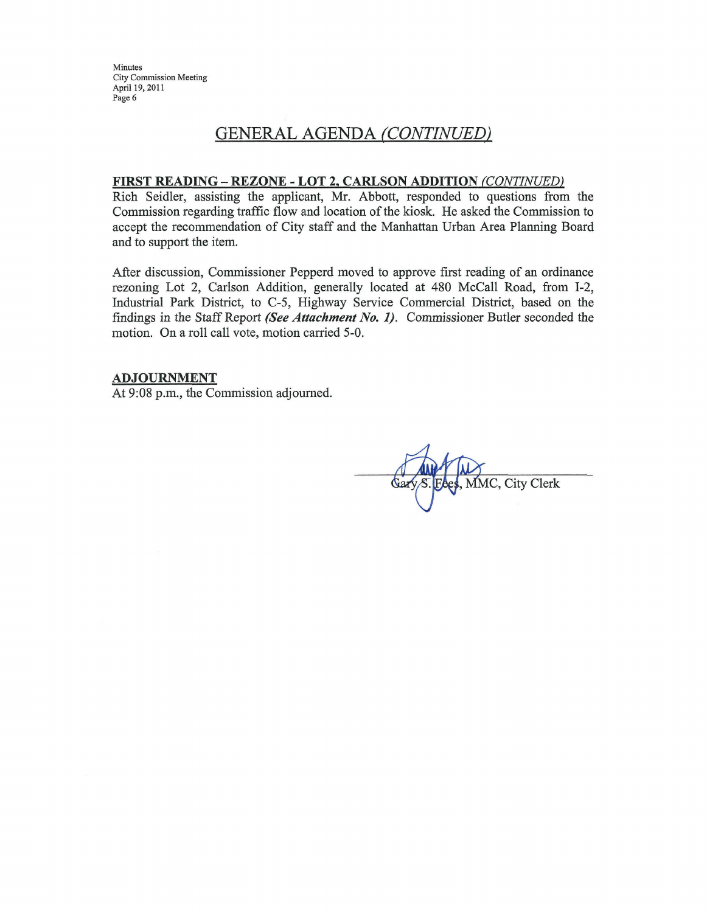Minutes City Commission Meeting April 19, 2011 Page 6

## **GENERAL AGENDA (CONTINUED)**

#### FIRST READING - REZONE - LOT 2, CARLSON ADDITION (CONTINUED)

Rich Seidler, assisting the applicant, Mr. Abbott, responded to questions from the Commission regarding traffic flow and location of the kiosk. He asked the Commission to accept the recommendation of City staff and the Manhattan Urban Area Planning Board and to support the item.

After discussion, Commissioner Pepperd moved to approve first reading of an ordinance rezoning Lot 2, Carlson Addition, generally located at 480 McCall Road, from I-2, Industrial Park District, to C-5, Highway Service Commercial District, based on the findings in the Staff Report (See Attachment No. 1). Commissioner Butler seconded the motion. On a roll call vote, motion carried 5-0.

#### **ADJOURNMENT**

At 9:08 p.m., the Commission adjourned.

MMC, City Clerk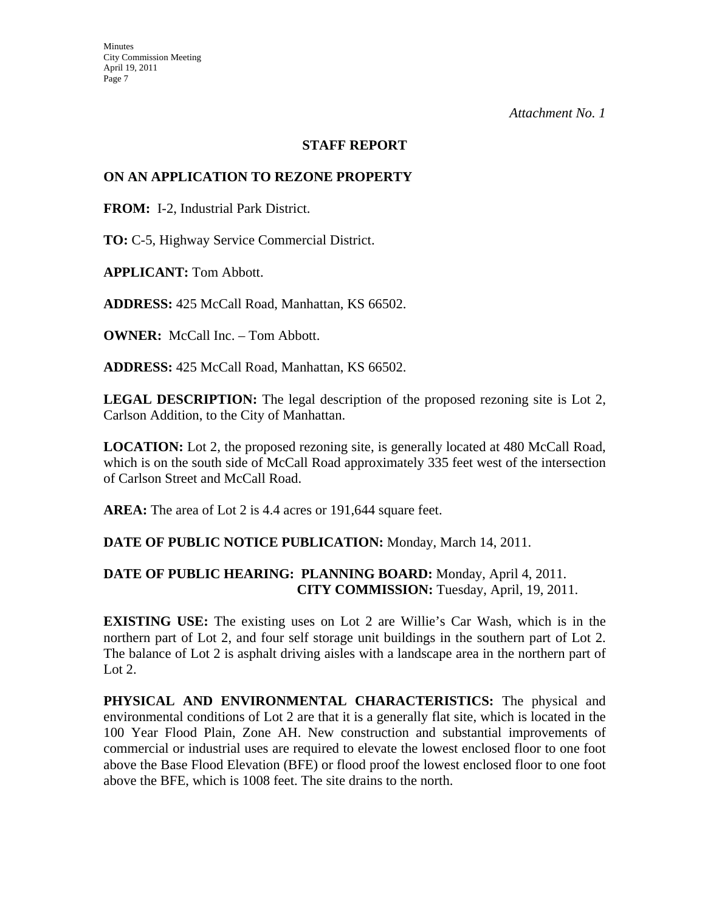#### **STAFF REPORT**

#### **ON AN APPLICATION TO REZONE PROPERTY**

**FROM:** I-2, Industrial Park District.

**TO:** C-5, Highway Service Commercial District.

**APPLICANT:** Tom Abbott.

**ADDRESS:** 425 McCall Road, Manhattan, KS 66502.

**OWNER:** McCall Inc. – Tom Abbott.

**ADDRESS:** 425 McCall Road, Manhattan, KS 66502.

**LEGAL DESCRIPTION:** The legal description of the proposed rezoning site is Lot 2, Carlson Addition, to the City of Manhattan.

**LOCATION:** Lot 2, the proposed rezoning site, is generally located at 480 McCall Road, which is on the south side of McCall Road approximately 335 feet west of the intersection of Carlson Street and McCall Road.

**AREA:** The area of Lot 2 is 4.4 acres or 191,644 square feet.

#### **DATE OF PUBLIC NOTICE PUBLICATION:** Monday, March 14, 2011.

#### **DATE OF PUBLIC HEARING: PLANNING BOARD:** Monday, April 4, 2011. **CITY COMMISSION:** Tuesday, April, 19, 2011.

**EXISTING USE:** The existing uses on Lot 2 are Willie's Car Wash, which is in the northern part of Lot 2, and four self storage unit buildings in the southern part of Lot 2. The balance of Lot 2 is asphalt driving aisles with a landscape area in the northern part of Lot  $2$ .

**PHYSICAL AND ENVIRONMENTAL CHARACTERISTICS:** The physical and environmental conditions of Lot 2 are that it is a generally flat site, which is located in the 100 Year Flood Plain, Zone AH. New construction and substantial improvements of commercial or industrial uses are required to elevate the lowest enclosed floor to one foot above the Base Flood Elevation (BFE) or flood proof the lowest enclosed floor to one foot above the BFE, which is 1008 feet. The site drains to the north.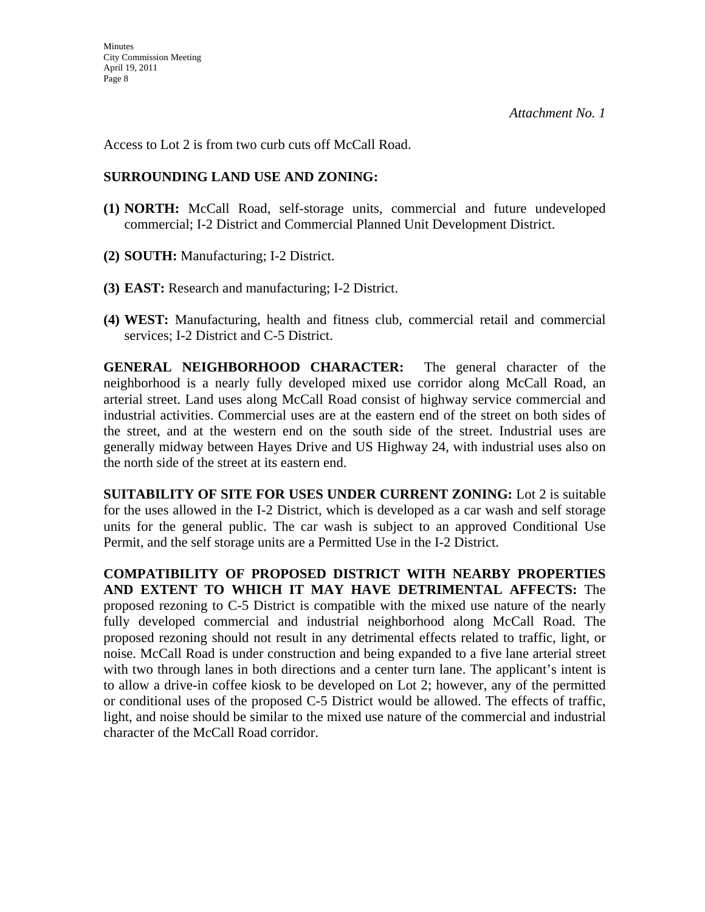Access to Lot 2 is from two curb cuts off McCall Road.

### **SURROUNDING LAND USE AND ZONING:**

- **(1) NORTH:** McCall Road, self-storage units, commercial and future undeveloped commercial; I-2 District and Commercial Planned Unit Development District.
- **(2) SOUTH:** Manufacturing; I-2 District.
- **(3) EAST:** Research and manufacturing; I-2 District.
- **(4) WEST:** Manufacturing, health and fitness club, commercial retail and commercial services; I-2 District and C-5 District.

**GENERAL NEIGHBORHOOD CHARACTER:** The general character of the neighborhood is a nearly fully developed mixed use corridor along McCall Road, an arterial street. Land uses along McCall Road consist of highway service commercial and industrial activities. Commercial uses are at the eastern end of the street on both sides of the street, and at the western end on the south side of the street. Industrial uses are generally midway between Hayes Drive and US Highway 24, with industrial uses also on the north side of the street at its eastern end.

**SUITABILITY OF SITE FOR USES UNDER CURRENT ZONING:** Lot 2 is suitable for the uses allowed in the I-2 District, which is developed as a car wash and self storage units for the general public. The car wash is subject to an approved Conditional Use Permit, and the self storage units are a Permitted Use in the I-2 District.

**COMPATIBILITY OF PROPOSED DISTRICT WITH NEARBY PROPERTIES AND EXTENT TO WHICH IT MAY HAVE DETRIMENTAL AFFECTS:** The proposed rezoning to C-5 District is compatible with the mixed use nature of the nearly fully developed commercial and industrial neighborhood along McCall Road. The proposed rezoning should not result in any detrimental effects related to traffic, light, or noise. McCall Road is under construction and being expanded to a five lane arterial street with two through lanes in both directions and a center turn lane. The applicant's intent is to allow a drive-in coffee kiosk to be developed on Lot 2; however, any of the permitted or conditional uses of the proposed C-5 District would be allowed. The effects of traffic, light, and noise should be similar to the mixed use nature of the commercial and industrial character of the McCall Road corridor.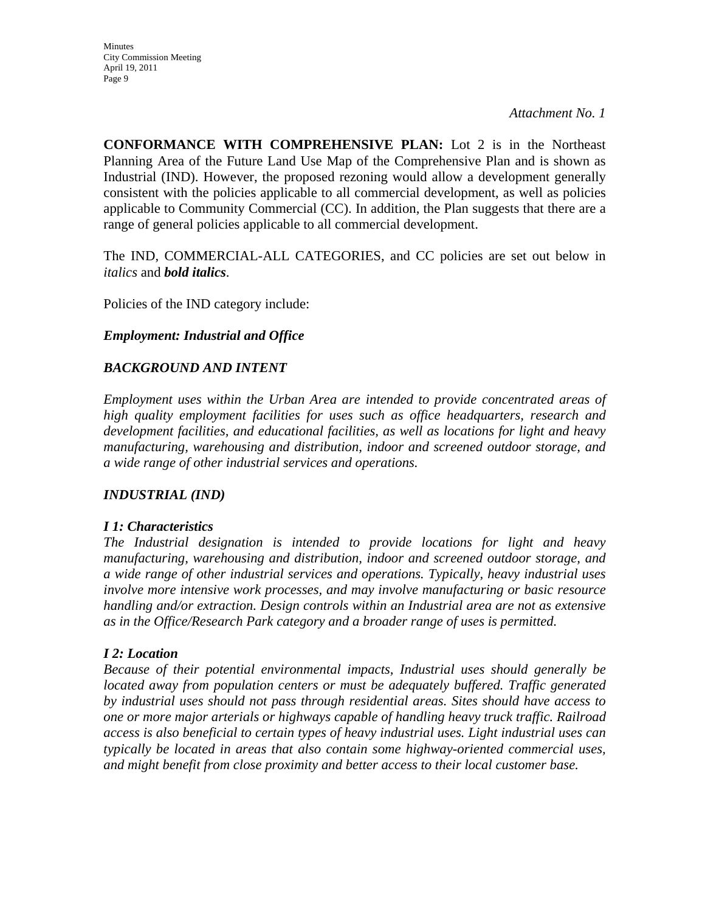**CONFORMANCE WITH COMPREHENSIVE PLAN:** Lot 2 is in the Northeast Planning Area of the Future Land Use Map of the Comprehensive Plan and is shown as Industrial (IND). However, the proposed rezoning would allow a development generally consistent with the policies applicable to all commercial development, as well as policies applicable to Community Commercial (CC). In addition, the Plan suggests that there are a range of general policies applicable to all commercial development.

The IND, COMMERCIAL-ALL CATEGORIES, and CC policies are set out below in *italics* and *bold italics*.

Policies of the IND category include:

#### *Employment: Industrial and Office*

#### *BACKGROUND AND INTENT*

*Employment uses within the Urban Area are intended to provide concentrated areas of high quality employment facilities for uses such as office headquarters, research and development facilities, and educational facilities, as well as locations for light and heavy manufacturing, warehousing and distribution, indoor and screened outdoor storage, and a wide range of other industrial services and operations.* 

#### *INDUSTRIAL (IND)*

#### *I 1: Characteristics*

*The Industrial designation is intended to provide locations for light and heavy manufacturing, warehousing and distribution, indoor and screened outdoor storage, and a wide range of other industrial services and operations. Typically, heavy industrial uses involve more intensive work processes, and may involve manufacturing or basic resource handling and/or extraction. Design controls within an Industrial area are not as extensive as in the Office/Research Park category and a broader range of uses is permitted.* 

#### *I 2: Location*

*Because of their potential environmental impacts, Industrial uses should generally be located away from population centers or must be adequately buffered. Traffic generated by industrial uses should not pass through residential areas. Sites should have access to one or more major arterials or highways capable of handling heavy truck traffic. Railroad access is also beneficial to certain types of heavy industrial uses. Light industrial uses can typically be located in areas that also contain some highway-oriented commercial uses, and might benefit from close proximity and better access to their local customer base.*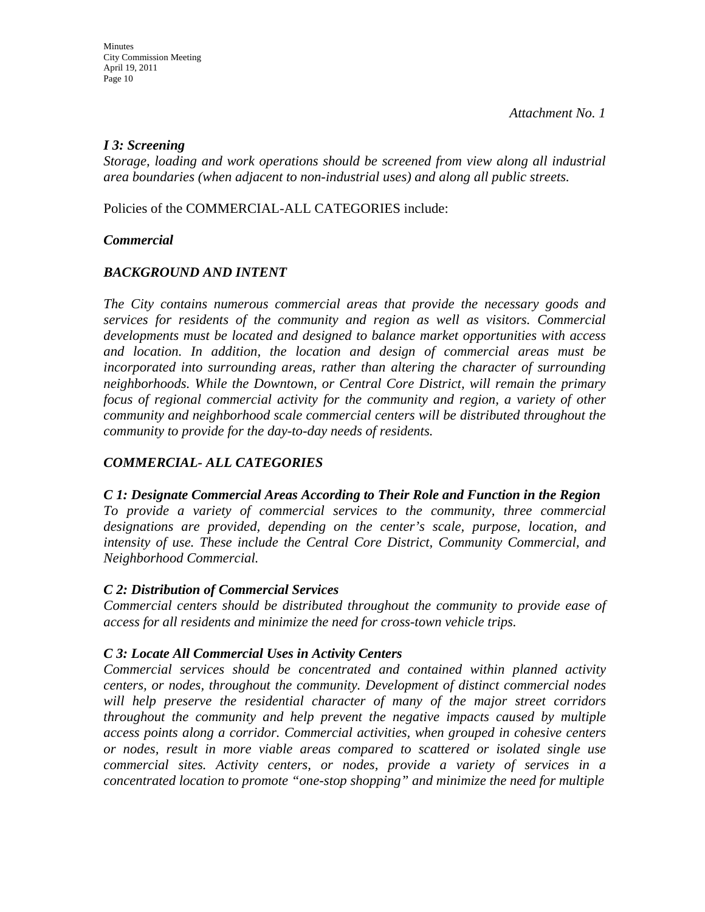### *I 3: Screening*

*Storage, loading and work operations should be screened from view along all industrial area boundaries (when adjacent to non-industrial uses) and along all public streets.* 

Policies of the COMMERCIAL-ALL CATEGORIES include:

### *Commercial*

### *BACKGROUND AND INTENT*

*The City contains numerous commercial areas that provide the necessary goods and services for residents of the community and region as well as visitors. Commercial developments must be located and designed to balance market opportunities with access and location. In addition, the location and design of commercial areas must be incorporated into surrounding areas, rather than altering the character of surrounding neighborhoods. While the Downtown, or Central Core District, will remain the primary focus of regional commercial activity for the community and region, a variety of other community and neighborhood scale commercial centers will be distributed throughout the community to provide for the day-to-day needs of residents.* 

### *COMMERCIAL- ALL CATEGORIES*

*C 1: Designate Commercial Areas According to Their Role and Function in the Region To provide a variety of commercial services to the community, three commercial designations are provided, depending on the center's scale, purpose, location, and intensity of use. These include the Central Core District, Community Commercial, and Neighborhood Commercial.* 

#### *C 2: Distribution of Commercial Services*

*Commercial centers should be distributed throughout the community to provide ease of access for all residents and minimize the need for cross-town vehicle trips.* 

### *C 3: Locate All Commercial Uses in Activity Centers*

*Commercial services should be concentrated and contained within planned activity centers, or nodes, throughout the community. Development of distinct commercial nodes will help preserve the residential character of many of the major street corridors throughout the community and help prevent the negative impacts caused by multiple access points along a corridor. Commercial activities, when grouped in cohesive centers or nodes, result in more viable areas compared to scattered or isolated single use commercial sites. Activity centers, or nodes, provide a variety of services in a concentrated location to promote "one-stop shopping" and minimize the need for multiple*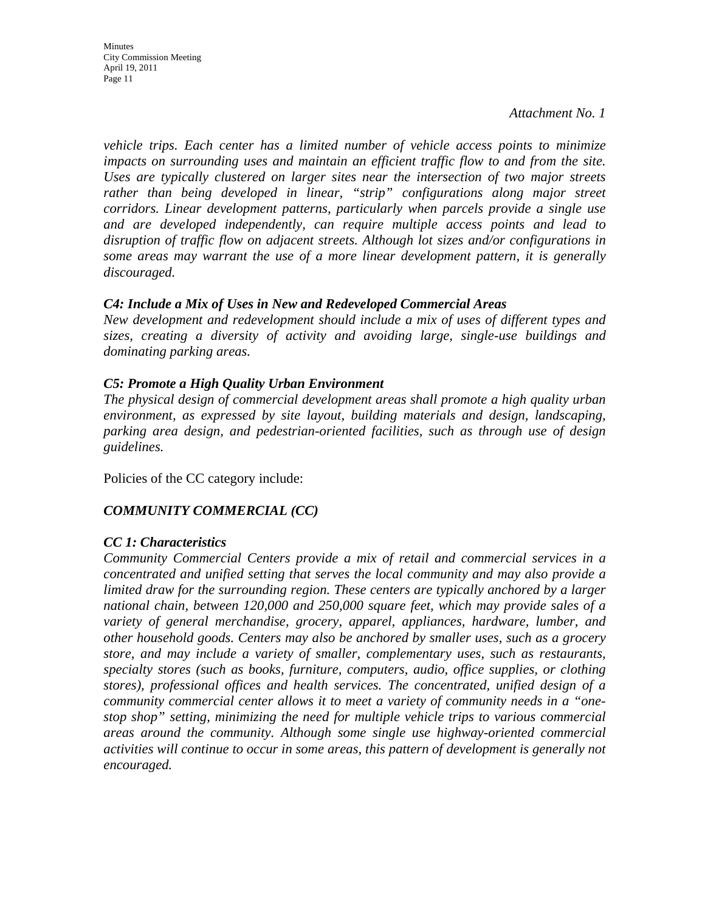Minutes City Commission Meeting April 19, 2011 Page 11

*Attachment No. 1* 

*vehicle trips. Each center has a limited number of vehicle access points to minimize impacts on surrounding uses and maintain an efficient traffic flow to and from the site. Uses are typically clustered on larger sites near the intersection of two major streets*  rather than being developed in linear, "strip" configurations along major street *corridors. Linear development patterns, particularly when parcels provide a single use and are developed independently, can require multiple access points and lead to disruption of traffic flow on adjacent streets. Although lot sizes and/or configurations in some areas may warrant the use of a more linear development pattern, it is generally discouraged.* 

#### *C4: Include a Mix of Uses in New and Redeveloped Commercial Areas*

*New development and redevelopment should include a mix of uses of different types and sizes, creating a diversity of activity and avoiding large, single-use buildings and dominating parking areas.* 

#### *C5: Promote a High Quality Urban Environment*

*The physical design of commercial development areas shall promote a high quality urban environment, as expressed by site layout, building materials and design, landscaping, parking area design, and pedestrian-oriented facilities, such as through use of design guidelines.* 

Policies of the CC category include:

### *COMMUNITY COMMERCIAL (CC)*

#### *CC 1: Characteristics*

*Community Commercial Centers provide a mix of retail and commercial services in a concentrated and unified setting that serves the local community and may also provide a limited draw for the surrounding region. These centers are typically anchored by a larger national chain, between 120,000 and 250,000 square feet, which may provide sales of a variety of general merchandise, grocery, apparel, appliances, hardware, lumber, and other household goods. Centers may also be anchored by smaller uses, such as a grocery store, and may include a variety of smaller, complementary uses, such as restaurants, specialty stores (such as books, furniture, computers, audio, office supplies, or clothing stores), professional offices and health services. The concentrated, unified design of a community commercial center allows it to meet a variety of community needs in a "onestop shop" setting, minimizing the need for multiple vehicle trips to various commercial areas around the community. Although some single use highway-oriented commercial activities will continue to occur in some areas, this pattern of development is generally not encouraged.*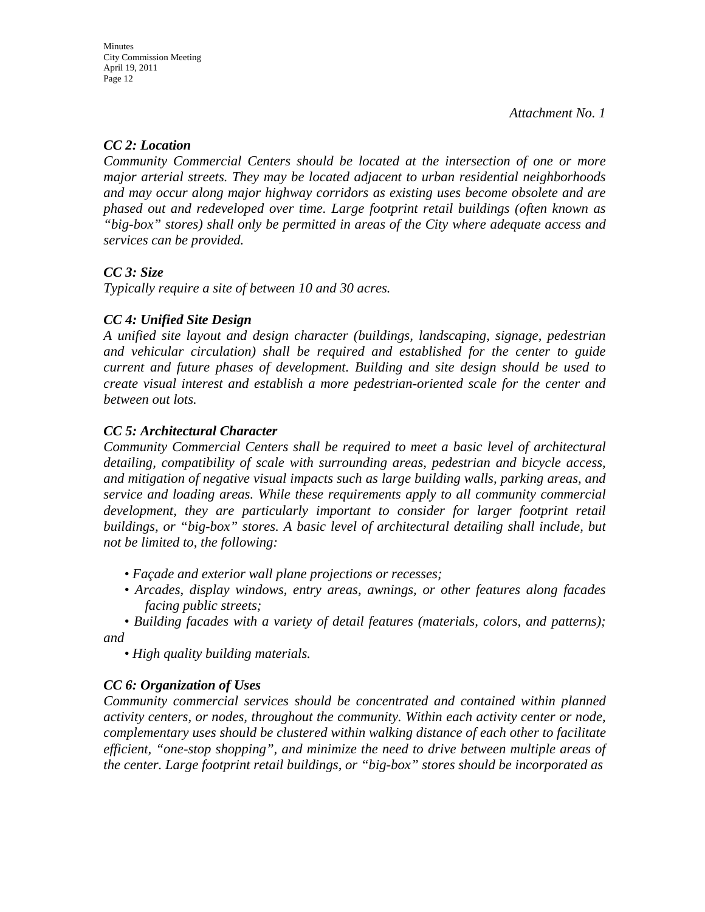### *CC 2: Location*

*Community Commercial Centers should be located at the intersection of one or more major arterial streets. They may be located adjacent to urban residential neighborhoods and may occur along major highway corridors as existing uses become obsolete and are phased out and redeveloped over time. Large footprint retail buildings (often known as "big-box" stores) shall only be permitted in areas of the City where adequate access and services can be provided.* 

### *CC 3: Size*

*Typically require a site of between 10 and 30 acres.* 

### *CC 4: Unified Site Design*

*A unified site layout and design character (buildings, landscaping, signage, pedestrian and vehicular circulation) shall be required and established for the center to guide current and future phases of development. Building and site design should be used to create visual interest and establish a more pedestrian-oriented scale for the center and between out lots.* 

### *CC 5: Architectural Character*

*Community Commercial Centers shall be required to meet a basic level of architectural detailing, compatibility of scale with surrounding areas, pedestrian and bicycle access, and mitigation of negative visual impacts such as large building walls, parking areas, and service and loading areas. While these requirements apply to all community commercial*  development, they are particularly important to consider for larger footprint retail *buildings, or "big-box" stores. A basic level of architectural detailing shall include, but not be limited to, the following:* 

- *Façade and exterior wall plane projections or recesses;*
- *Arcades, display windows, entry areas, awnings, or other features along facades facing public streets;*
- *Building facades with a variety of detail features (materials, colors, and patterns); and*

*• High quality building materials.* 

#### *CC 6: Organization of Uses*

*Community commercial services should be concentrated and contained within planned activity centers, or nodes, throughout the community. Within each activity center or node, complementary uses should be clustered within walking distance of each other to facilitate efficient, "one-stop shopping", and minimize the need to drive between multiple areas of the center. Large footprint retail buildings, or "big-box" stores should be incorporated as*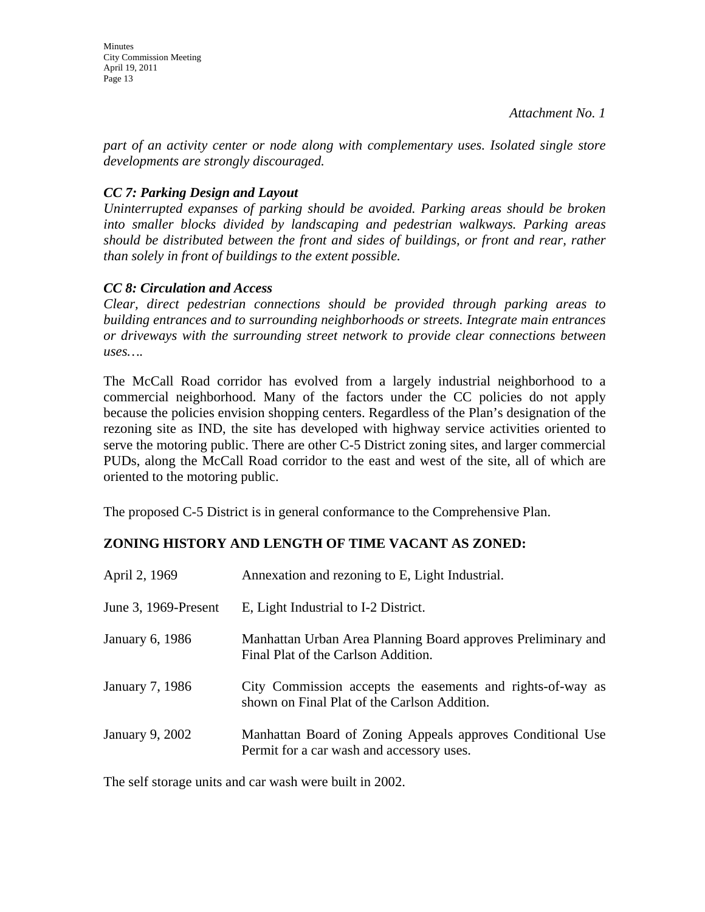*part of an activity center or node along with complementary uses. Isolated single store developments are strongly discouraged.* 

### *CC 7: Parking Design and Layout*

*Uninterrupted expanses of parking should be avoided. Parking areas should be broken into smaller blocks divided by landscaping and pedestrian walkways. Parking areas should be distributed between the front and sides of buildings, or front and rear, rather than solely in front of buildings to the extent possible.* 

### *CC 8: Circulation and Access*

*Clear, direct pedestrian connections should be provided through parking areas to building entrances and to surrounding neighborhoods or streets. Integrate main entrances or driveways with the surrounding street network to provide clear connections between uses….* 

The McCall Road corridor has evolved from a largely industrial neighborhood to a commercial neighborhood. Many of the factors under the CC policies do not apply because the policies envision shopping centers. Regardless of the Plan's designation of the rezoning site as IND, the site has developed with highway service activities oriented to serve the motoring public. There are other C-5 District zoning sites, and larger commercial PUDs, along the McCall Road corridor to the east and west of the site, all of which are oriented to the motoring public.

The proposed C-5 District is in general conformance to the Comprehensive Plan.

## **ZONING HISTORY AND LENGTH OF TIME VACANT AS ZONED:**

| April 2, 1969        | Annexation and rezoning to E, Light Industrial.                                                            |
|----------------------|------------------------------------------------------------------------------------------------------------|
| June 3, 1969-Present | E, Light Industrial to I-2 District.                                                                       |
| January 6, 1986      | Manhattan Urban Area Planning Board approves Preliminary and<br>Final Plat of the Carlson Addition.        |
| January 7, 1986      | City Commission accepts the easements and rights-of-way as<br>shown on Final Plat of the Carlson Addition. |
| January 9, 2002      | Manhattan Board of Zoning Appeals approves Conditional Use<br>Permit for a car wash and accessory uses.    |

The self storage units and car wash were built in 2002.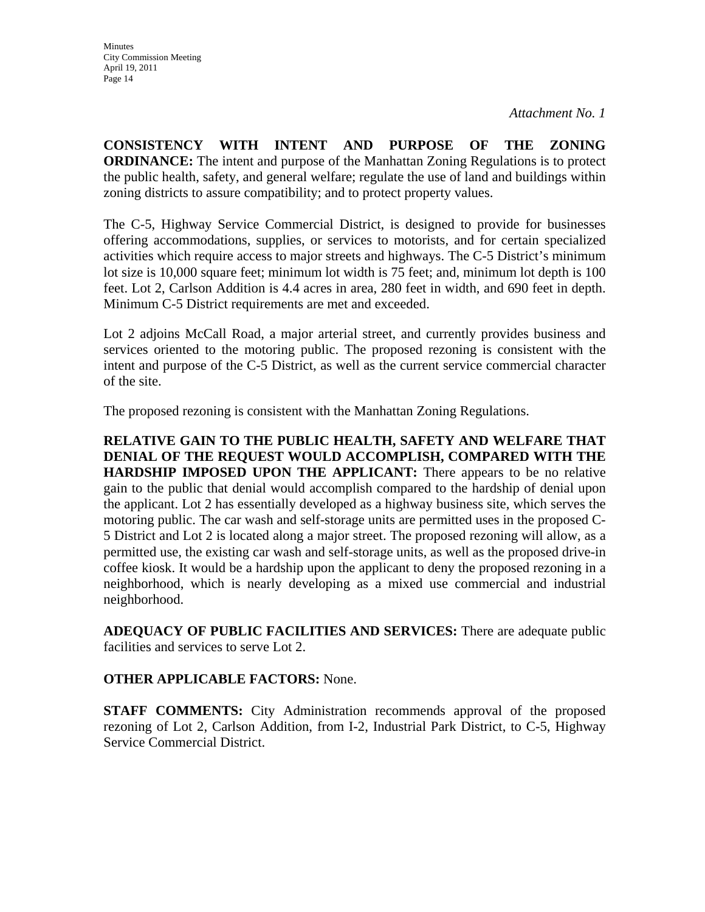**CONSISTENCY WITH INTENT AND PURPOSE OF THE ZONING ORDINANCE:** The intent and purpose of the Manhattan Zoning Regulations is to protect the public health, safety, and general welfare; regulate the use of land and buildings within zoning districts to assure compatibility; and to protect property values.

The C-5, Highway Service Commercial District, is designed to provide for businesses offering accommodations, supplies, or services to motorists, and for certain specialized activities which require access to major streets and highways. The C-5 District's minimum lot size is 10,000 square feet; minimum lot width is 75 feet; and, minimum lot depth is 100 feet. Lot 2, Carlson Addition is 4.4 acres in area, 280 feet in width, and 690 feet in depth. Minimum C-5 District requirements are met and exceeded.

Lot 2 adjoins McCall Road, a major arterial street, and currently provides business and services oriented to the motoring public. The proposed rezoning is consistent with the intent and purpose of the C-5 District, as well as the current service commercial character of the site.

The proposed rezoning is consistent with the Manhattan Zoning Regulations.

**RELATIVE GAIN TO THE PUBLIC HEALTH, SAFETY AND WELFARE THAT DENIAL OF THE REQUEST WOULD ACCOMPLISH, COMPARED WITH THE HARDSHIP IMPOSED UPON THE APPLICANT:** There appears to be no relative gain to the public that denial would accomplish compared to the hardship of denial upon the applicant. Lot 2 has essentially developed as a highway business site, which serves the motoring public. The car wash and self-storage units are permitted uses in the proposed C-5 District and Lot 2 is located along a major street. The proposed rezoning will allow, as a permitted use, the existing car wash and self-storage units, as well as the proposed drive-in coffee kiosk. It would be a hardship upon the applicant to deny the proposed rezoning in a neighborhood, which is nearly developing as a mixed use commercial and industrial neighborhood.

**ADEQUACY OF PUBLIC FACILITIES AND SERVICES:** There are adequate public facilities and services to serve Lot 2.

#### **OTHER APPLICABLE FACTORS:** None.

**STAFF COMMENTS:** City Administration recommends approval of the proposed rezoning of Lot 2, Carlson Addition, from I-2, Industrial Park District, to C-5, Highway Service Commercial District.